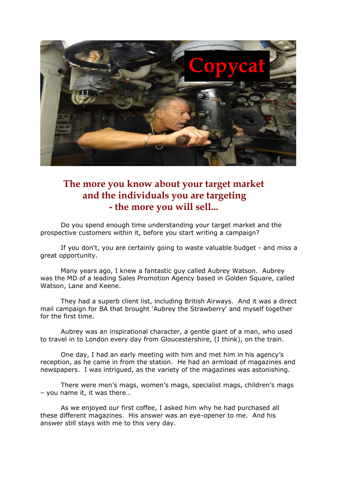

## **The more you know about your target market and the individuals you are targeting - the more you will sell...**

Do you spend enough time understanding your target market and the prospective customers within it, before you start writing a campaign?

If you don't, you are certainly going to waste valuable budget - and miss a great opportunity.

Many years ago, I knew a fantastic guy called Aubrey Watson. Aubrey was the MD of a leading Sales Promotion Agency based in Golden Square, called Watson, Lane and Keene.

They had a superb client list, including British Airways. And it was a direct mail campaign for BA that brought 'Aubrey the Strawberry' and myself together for the first time.

Aubrey was an inspirational character, a gentle giant of a man, who used to travel in to London every day from Gloucestershire, (I think), on the train.

One day, I had an early meeting with him and met him in his agency's reception, as he came in from the station. He had an armload of magazines and newspapers. I was intrigued, as the variety of the magazines was astonishing.

There were men's mags, women's mags, specialist mags, children's mags – you name it, it was there…

As we enjoyed our first coffee, I asked him why he had purchased all these different magazines. His answer was an eye-opener to me. And his answer still stays with me to this very day.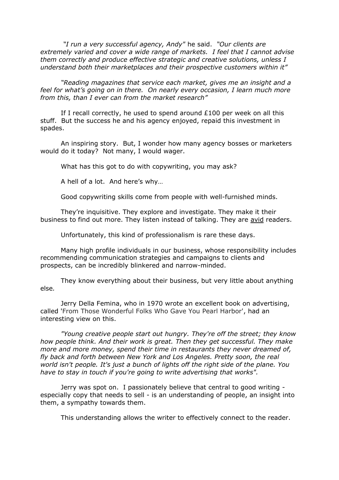*"I run a very successful agency, Andy"* he said. *"Our clients are extremely varied and cover a wide range of markets. I feel that I cannot advise them correctly and produce effective strategic and creative solutions, unless I understand both their marketplaces and their prospective customers within it"*

*"Reading magazines that service each market, gives me an insight and a feel for what's going on in there. On nearly every occasion, I learn much more from this, than I ever can from the market research"*

If I recall correctly, he used to spend around  $£100$  per week on all this stuff. But the success he and his agency enjoyed, repaid this investment in spades.

An inspiring story. But, I wonder how many agency bosses or marketers would do it today? Not many, I would wager.

What has this got to do with copywriting, you may ask?

A hell of a lot. And here's why…

Good copywriting skills come from people with well-furnished minds.

They're inquisitive. They explore and investigate. They make it their business to find out more. They listen instead of talking. They are avid readers.

Unfortunately, this kind of professionalism is rare these days.

Many high profile individuals in our business, whose responsibility includes recommending communication strategies and campaigns to clients and prospects, can be incredibly blinkered and narrow-minded.

They know everything about their business, but very little about anything else*.*

Jerry Della Femina, who in 1970 wrote an excellent book on advertising, called 'From Those Wonderful Folks Who Gave You Pearl Harbor', had an interesting view on this.

*"Young creative people start out hungry. They're off the street; they know how people think. And their work is great. Then they get successful. They make more and more money, spend their time in restaurants they never dreamed of, fly back and forth between New York and Los Angeles. Pretty soon, the real world isn't people. It's just a bunch of lights off the right side of the plane. You have to stay in touch if you're going to write advertising that works".*

Jerry was spot on. I passionately believe that central to good writing especially copy that needs to sell - is an understanding of people, an insight into them, a sympathy towards them.

This understanding allows the writer to effectively connect to the reader.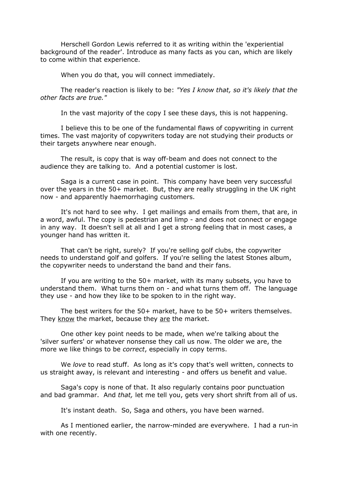Herschell Gordon Lewis referred to it as writing within the 'experiential background of the reader'. Introduce as many facts as you can, which are likely to come within that experience.

When you do that, you will connect immediately.

The reader's reaction is likely to be: *"Yes I know that, so it's likely that the other facts are true."*

In the vast majority of the copy I see these days, this is not happening.

I believe this to be one of the fundamental flaws of copywriting in current times. The vast majority of copywriters today are not studying their products or their targets anywhere near enough.

The result, is copy that is way off-beam and does not connect to the audience they are talking to. And a potential customer is lost.

Saga is a current case in point. This company have been very successful over the years in the 50+ market. But, they are really struggling in the UK right now - and apparently haemorrhaging customers.

It's not hard to see why. I get mailings and emails from them, that are, in a word, awful. The copy is pedestrian and limp - and does not connect or engage in any way. It doesn't sell at all and I get a strong feeling that in most cases, a younger hand has written it.

That can't be right, surely? If you're selling golf clubs, the copywriter needs to understand golf and golfers. If you're selling the latest Stones album, the copywriter needs to understand the band and their fans.

If you are writing to the 50+ market, with its many subsets, you have to understand them. What turns them on - and what turns them off. The language they use - and how they like to be spoken to in the right way.

The best writers for the 50+ market, have to be 50+ writers themselves. They know the market, because they are the market.

One other key point needs to be made, when we're talking about the 'silver surfers' or whatever nonsense they call us now. The older we are, the more we like things to be *correct*, especially in copy terms.

We *love* to read stuff. As long as it's copy that's well written, connects to us straight away, is relevant and interesting - and offers us benefit and value.

Saga's copy is none of that. It also regularly contains poor punctuation and bad grammar. And *that,* let me tell you, gets very short shrift from all of us.

It's instant death. So, Saga and others, you have been warned.

As I mentioned earlier, the narrow-minded are everywhere. I had a run-in with one recently.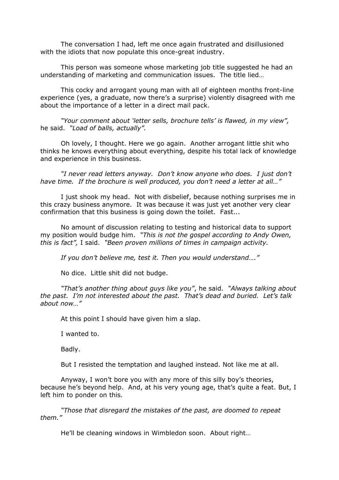The conversation I had, left me once again frustrated and disillusioned with the idiots that now populate this once-great industry.

This person was someone whose marketing job title suggested he had an understanding of marketing and communication issues. The title lied…

This cocky and arrogant young man with all of eighteen months front-line experience (yes, a graduate, now there's a surprise) violently disagreed with me about the importance of a letter in a direct mail pack.

*"Your comment about 'letter sells, brochure tells' is flawed, in my view",* he said. *"Load of balls, actually".* 

Oh lovely, I thought. Here we go again. Another arrogant little shit who thinks he knows everything about everything, despite his total lack of knowledge and experience in this business.

*"I never read letters anyway. Don't know anyone who does. I just don't have time. If the brochure is well produced, you don't need a letter at all…"*

I just shook my head. Not with disbelief, because nothing surprises me in this crazy business anymore. It was because it was just yet another very clear confirmation that this business is going down the toilet. Fast...

No amount of discussion relating to testing and historical data to support my position would budge him. *"This is not the gospel according to Andy Owen, this is fact",* I said. *"Been proven millions of times in campaign activity.* 

*If you don't believe me, test it. Then you would understand…."*

No dice. Little shit did not budge.

*"That's another thing about guys like you"*, he said. *"Always talking about the past. I'm not interested about the past. That's dead and buried. Let's talk about now…"*

At this point I should have given him a slap.

I wanted to.

Badly.

But I resisted the temptation and laughed instead. Not like me at all.

Anyway, I won't bore you with any more of this silly boy's theories, because he's beyond help. And, at his very young age, that's quite a feat. But, I left him to ponder on this*.* 

*"Those that disregard the mistakes of the past, are doomed to repeat them."*

He'll be cleaning windows in Wimbledon soon. About right…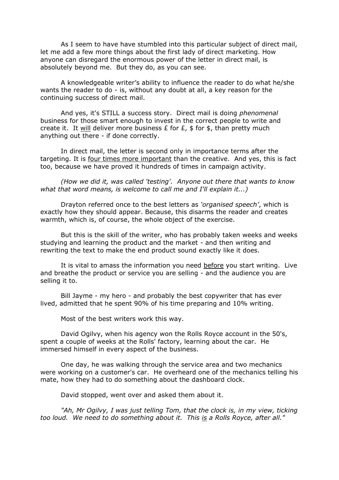As I seem to have have stumbled into this particular subject of direct mail, let me add a few more things about the first lady of direct marketing. How anyone can disregard the enormous power of the letter in direct mail, is absolutely beyond me. But they do, as you can see.

A knowledgeable writer's ability to influence the reader to do what he/she wants the reader to do - is, without any doubt at all, a key reason for the continuing success of direct mail.

And yes, it's STILL a success story. Direct mail is doing *phenomenal*  business for those smart enough to invest in the correct people to write and create it. It will deliver more business  $E$  for  $E$ ,  $\frac{1}{2}$  for  $\frac{1}{2}$ , than pretty much anything out there - if done correctly.

In direct mail, the letter is second only in importance terms after the targeting. It is four times more important than the creative. And yes, this is fact too, because we have proved it hundreds of times in campaign activity.

*(How we did it, was called 'testing'. Anyone out there that wants to know what that word means, is welcome to call me and I'll explain it...)*

Drayton referred once to the best letters as *'organised speech'*, which is exactly how they should appear. Because, this disarms the reader and creates warmth, which is, of course, the whole object of the exercise.

But this is the skill of the writer, who has probably taken weeks and weeks studying and learning the product and the market - and then writing and rewriting the text to make the end product sound exactly like it does.

It is vital to amass the information you need before you start writing. Live and breathe the product or service you are selling - and the audience you are selling it to.

Bill Jayme - my hero - and probably the best copywriter that has ever lived, admitted that he spent 90% of his time preparing and 10% writing.

Most of the best writers work this way.

David Ogilvy, when his agency won the Rolls Royce account in the 50's, spent a couple of weeks at the Rolls' factory, learning about the car. He immersed himself in every aspect of the business.

One day, he was walking through the service area and two mechanics were working on a customer's car. He overheard one of the mechanics telling his mate, how they had to do something about the dashboard clock.

David stopped, went over and asked them about it.

"Ah, Mr Ogilvy, I was just telling Tom, that the clock is, in my view, ticking *too loud. We need to do something about it. This is a Rolls Royce, after all."*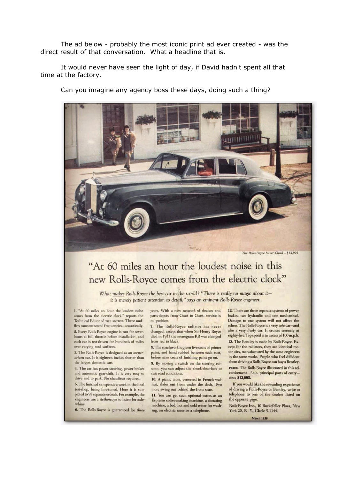The ad below - probably the most iconic print ad ever created - was the direct result of that conversation. What a headline that is.

It would never have seen the light of day, if David hadn't spent all that time at the factory.

Can you imagine any agency boss these days, doing such a thing?



The Rolls-Royce Silver Cloud-\$13,995

## "At 60 miles an hour the loudest noise in this new Rolls-Royce comes from the electric clock"

What makes Rolls-Royce the best car in the world? "There is really no magic about itit is merely patient attention to detail," says an eminent Rolls-Royce engineer.

1. "At 60 miles an hour the loudest noise comes from the electric clock," reports the Technical Editor of THE MOTOR. Three mufflers tune out sound frequencies-acoustically. 2. Every Rolls-Royce engine is run for seven hours at full throttle before installation, and each car is test-driven for hundreds of miles over varying road surfaces.

3. The Rolls-Royce is designed as an ownerdriven car. It is eighteen inches shorter than the largest domestic cars.

4. The car has power steering, power brakes and automatic gear-shift. It is very easy to drive and to park. No chauffeur required.

5. The finished car spends a week in the final test-shop, being fine-tuned. Here it is subjected to 98 separate ordeals. For example, the engineers use a stethoscope to listen for axlewhine.

6. The Rolls-Royce is guaranteed for three

years. With a new network of dealers and parts-depots from Coast to Coast, service is no problem.

7. The Rolls-Royce radiator has never changed, except that when Sir Henry Royce died in 1933 the monogram RR was changed from red to black.

8. The coachwork is given five coats of primer paint, and hand rubbed between each coat, before nine coats of finishing paint go on. 9. By moving a switch on the steering column, you can adjust the shock-absorbers to suit road conditions.

10. A picnic table, veneered in French walnut, slides out from under the dash. Two more swing out behind the front seats.

11. You can get such optional extras as an Espresso coffee-making machine, a dictating machine, a bed, hot and cold water for washing, an electric razor or a telephone.

12. There are three separate systems of power brakes, two hydraulic and one mechanical. Damage to one system will not affect the others. The Rolls-Royce is a very safe car-and also a very lively car. It cruises serenely at eighty-five. Top speed is in excess of 100 m.p.h. 13. The Bentley is made by Rolls-Royce. Except for the radiators, they are identical motor cars, manufactured by the same engineers in the same works. People who feel diffident about driving a Rolls-Royce can buy a Bentley. PRICE. The Rolls-Royce illustrated in this advertisement-f.o.b. principal ports of entrycosts \$13,995.

If you would like the rewarding experience of driving a Rolls-Royce or Bentley, write or telephone to one of the dealers listed on the opposite page.

Rolls-Royce Inc., 10 Rockefeller Plaza, New<br>York 20, N. Y., CIrcle 5-1144.

**March 1959**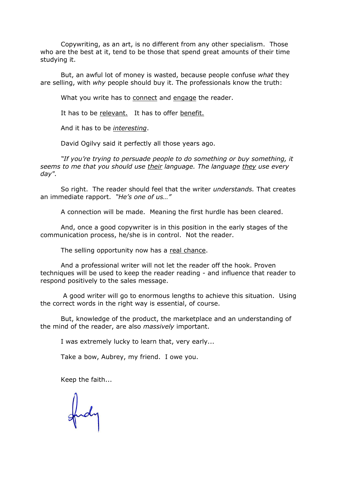Copywriting, as an art, is no different from any other specialism. Those who are the best at it, tend to be those that spend great amounts of their time studying it.

But, an awful lot of money is wasted, because people confuse *what* they are selling, with *why* people should buy it. The professionals know the truth:

What you write has to connect and engage the reader.

It has to be relevant. It has to offer benefit.

And it has to be *interesting*.

David Ogilvy said it perfectly all those years ago.

*"If you're trying to persuade people to do something or buy something, it seems to me that you should use their language. The language they use every day".*

So right. The reader should feel that the writer *understands.* That creates an immediate rapport. *"He's one of us…"*

A connection will be made. Meaning the first hurdle has been cleared.

And, once a good copywriter is in this position in the early stages of the communication process, he/she is in control. Not the reader.

The selling opportunity now has a real chance.

And a professional writer will not let the reader off the hook. Proven techniques will be used to keep the reader reading - and influence that reader to respond positively to the sales message.

A good writer will go to enormous lengths to achieve this situation. Using the correct words in the right way is essential, of course.

But, knowledge of the product, the marketplace and an understanding of the mind of the reader, are also *massively* important.

I was extremely lucky to learn that, very early...

Take a bow, Aubrey, my friend. I owe you.

Keep the faith...

fud